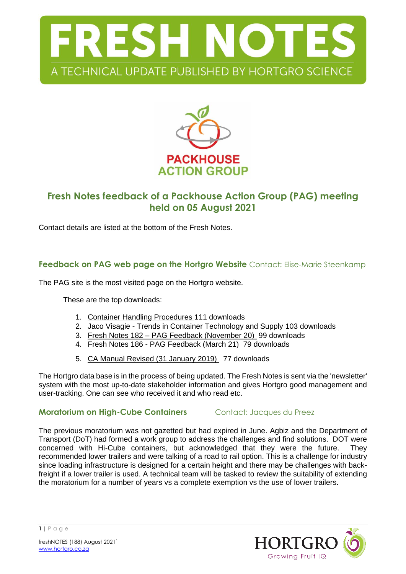



# **Fresh Notes feedback of a Packhouse Action Group (PAG) meeting held on 05 August 2021**

Contact details are listed at the bottom of the Fresh Notes.

# **Feedback on PAG web page on the Hortgro Website** Contact: Elise-Marie Steenkamp

The PAG site is the most visited page on the Hortgro website.

These are the top downloads:

- 1. [Container Handling Procedures](https://www.hortgro.co.za/download/container-handling-procedures/) 111 downloads
- 2. Jaco Visagie [Trends in Container Technology and Supply](https://www.hortgro.co.za/download/jaco-visagie-trends-in-container-technology-and-supply/) 103 downloads
- 3. Fresh Notes 182 [PAG Feedback \(November 20\)](https://www.hortgro.co.za/download/fresh-notes-182-pag-feedback-november-20/) 99 downloads
- 4. Fresh Notes 186 [PAG Feedback \(March 21\)](https://www.hortgro.co.za/download/fresh-notes-186-pag-feedback-march-21/) 79 downloads
- 5. [CA Manual Revised \(31 January 2019\)](https://www.hortgro.co.za/download/ca-manual-revised-31-january-2019/) 77 downloads

The Hortgro data base is in the process of being updated. The Fresh Notes is sent via the 'newsletter' system with the most up-to-date stakeholder information and gives Hortgro good management and user-tracking. One can see who received it and who read etc.

### **Moratorium on High-Cube Containers** Contact: Jacques du Preez

The previous moratorium was not gazetted but had expired in June. Agbiz and the Department of Transport (DoT) had formed a work group to address the challenges and find solutions. DOT were concerned with Hi-Cube containers, but acknowledged that they were the future. They recommended lower trailers and were talking of a road to rail option. This is a challenge for industry since loading infrastructure is designed for a certain height and there may be challenges with backfreight if a lower trailer is used. A technical team will be tasked to review the suitability of extending the moratorium for a number of years vs a complete exemption vs the use of lower trailers.

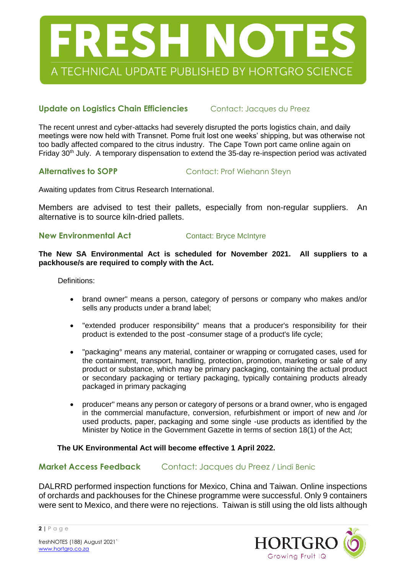

# **Update on Logistics Chain Efficiencies** Contact: Jacques du Preez

The recent unrest and cyber-attacks had severely disrupted the ports logistics chain, and daily meetings were now held with Transnet. Pome fruit lost one weeks' shipping, but was otherwise not too badly affected compared to the citrus industry. The Cape Town port came online again on Friday 30th July. A temporary dispensation to extend the 35-day re-inspection period was activated

**Alternatives to SOPP** Contact: Prof Wiehann Steyn

Awaiting updates from Citrus Research International.

Members are advised to test their pallets, especially from non-regular suppliers. An alternative is to source kiln-dried pallets.

### **New Environmental Act Contact: Bryce McIntyre**

**The New SA Environmental Act is scheduled for November 2021. All suppliers to a packhouse/s are required to comply with the Act.** 

Definitions:

- brand owner" means a person, category of persons or company who makes and/or sells any products under a brand label;
- "extended producer responsibility" means that a producer's responsibility for their product is extended to the post -consumer stage of a product's life cycle;
- "packaging° means any material, container or wrapping or corrugated cases, used for the containment, transport, handling, protection, promotion, marketing or sale of any product or substance, which may be primary packaging, containing the actual product or secondary packaging or tertiary packaging, typically containing products already packaged in primary packaging
- producer" means any person or category of persons or a brand owner, who is engaged in the commercial manufacture, conversion, refurbishment or import of new and /or used products, paper, packaging and some single -use products as identified by the Minister by Notice in the Government Gazette in terms of section 18(1) of the Act;

### **The UK Environmental Act will become effective 1 April 2022.**

# **Market Access Feedback** Contact: Jacques du Preez / Lindi Benic

DALRRD performed inspection functions for Mexico, China and Taiwan. Online inspections of orchards and packhouses for the Chinese programme were successful. Only 9 containers were sent to Mexico, and there were no rejections. Taiwan is still using the old lists although



**2 |** P a g e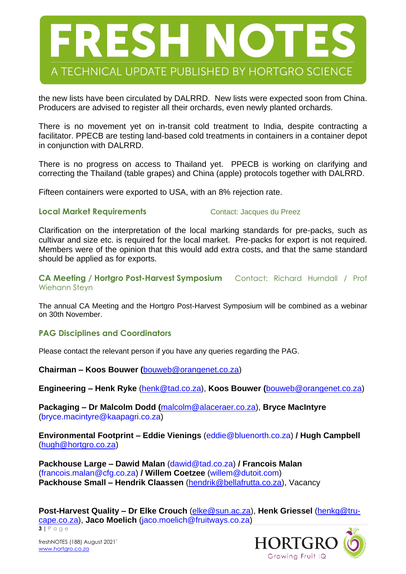

the new lists have been circulated by DALRRD. New lists were expected soon from China. Producers are advised to register all their orchards, even newly planted orchards.

There is no movement yet on in-transit cold treatment to India, despite contracting a facilitator. PPECB are testing land-based cold treatments in containers in a container depot in conjunction with DALRRD.

There is no progress on access to Thailand yet. PPECB is working on clarifying and correcting the Thailand (table grapes) and China (apple) protocols together with DALRRD.

Fifteen containers were exported to USA, with an 8% rejection rate.

#### **Local Market Requirements Contact: Jacques du Preez**

Clarification on the interpretation of the local marking standards for pre-packs, such as cultivar and size etc. is required for the local market. Pre-packs for export is not required. Members were of the opinion that this would add extra costs, and that the same standard should be applied as for exports.

### **CA Meeting / Hortgro Post-Harvest Symposium** Contact: Richard Hurndall / Prof Wiehann Steyn

The annual CA Meeting and the Hortgro Post-Harvest Symposium will be combined as a webinar on 30th November.

### **PAG Disciplines and Coordinators**

Please contact the relevant person if you have any queries regarding the PAG.

**Chairman – Koos Bouwer (**[bouweb@orangenet.co.za\)](mailto:bouweb@orangenet.co.za)

**Engineering – Henk Ryke** [\(henk@tad.co.za\)](mailto:henk@tad.co.za), **Koos Bouwer (**[bouweb@orangenet.co.za\)](mailto:bouweb@orangenet.co.za)

**Packaging – Dr Malcolm Dodd (**[malcolm@alaceraer.co.za\)](mailto:malcolm@alaceraer.co.za), **Bryce MacIntyre** (bryce.macintyre@kaapagri.co.za)

**Environmental Footprint – Eddie Vienings** (eddie@bluenorth.co.za) **/ Hugh Campbell** [\(hugh@hortgro.co.za\)](mailto:hugh@hortgro.co.za)

**Packhouse Large – Dawid Malan** (dawid@tad.co.za) **/ Francois Malan** (francois.malan@cfg.co.za) **/ Willem Coetzee** [\(willem@dutoit.com\)](mailto:willem@dutoit.com) **Packhouse Small – Hendrik Claassen** [\(hendrik@bellafrutta.co.za\)](mailto:hendrik@bellafrutta.co.za), Vacancy

**3 |** P a g e **Post-Harvest Quality – Dr Elke Crouch** [\(elke@sun.ac.za\)](mailto:elke@sun.ac.za), **Henk Griessel** [\(henkg@tru](mailto:henkg@tru-cape.co.za)[cape.co.za\)](mailto:henkg@tru-cape.co.za), **Jaco Moelich** (jaco.moelich@fruitways.co.za)



freshNOTES (188) August 2021` [www.hortgro.co.za](http://www.hortgro.co.za/)